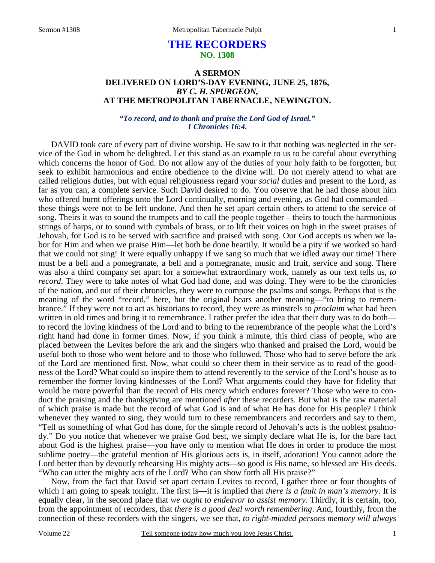# **THE RECORDERS NO. 1308**

## **A SERMON DELIVERED ON LORD'S-DAY EVENING, JUNE 25, 1876,**  *BY C. H. SPURGEON,*  **AT THE METROPOLITAN TABERNACLE, NEWINGTON.**

## *"To record, and to thank and praise the Lord God of Israel." 1 Chronicles 16:4.*

DAVID took care of every part of divine worship. He saw to it that nothing was neglected in the service of the God in whom he delighted. Let this stand as an example to us to be careful about everything which concerns the honor of God. Do not allow any of the duties of your holy faith to be forgotten, but seek to exhibit harmonious and entire obedience to the divine will. Do not merely attend to what are called religious duties, but with equal religiousness regard your *social* duties and present to the Lord, as far as you can, a complete service. Such David desired to do. You observe that he had those about him who offered burnt offerings unto the Lord continually, morning and evening, as God had commanded these things were not to be left undone. And then he set apart certain others to attend to the service of song. Theirs it was to sound the trumpets and to call the people together—theirs to touch the harmonious strings of harps, or to sound with cymbals of brass, or to lift their voices on high in the sweet praises of Jehovah, for God is to be served with sacrifice and praised with song. Our God accepts us when we labor for Him and when we praise Him—let both be done heartily. It would be a pity if we worked so hard that we could not sing! It were equally unhappy if we sang so much that we idled away our time! There must be a bell and a pomegranate, a bell and a pomegranate, music and fruit, service and song. There was also a third company set apart for a somewhat extraordinary work, namely as our text tells us, *to record*. They were to take notes of what God had done, and was doing. They were to be the chronicles of the nation, and out of their chronicles, they were to compose the psalms and songs. Perhaps that is the meaning of the word "record," here, but the original bears another meaning—"to bring to remembrance." If they were not to act as historians to record, they were as minstrels to *proclaim* what had been written in old times and bring it to remembrance. I rather prefer the idea that their duty was to do both to record the loving kindness of the Lord and to bring to the remembrance of the people what the Lord's right hand had done in former times. Now, if you think a minute, this third class of people, who are placed between the Levites before the ark and the singers who thanked and praised the Lord, would be useful both to those who went before and to those who followed. Those who had to serve before the ark of the Lord are mentioned first. Now, what could so cheer them in their service as to read of the goodness of the Lord? What could so inspire them to attend reverently to the service of the Lord's house as to remember the former loving kindnesses of the Lord? What arguments could they have for fidelity that would be more powerful than the record of His mercy which endures forever? Those who were to conduct the praising and the thanksgiving are mentioned *after* these recorders. But what is the raw material of which praise is made but the record of what God is and of what He has done for His people? I think whenever they wanted to sing, they would turn to these remembrancers and recorders and say to them, "Tell us something of what God has done, for the simple record of Jehovah's acts is the noblest psalmody." Do you notice that whenever we praise God best, we simply declare what He is, for the bare fact about God is the highest praise—you have only to mention what He does in order to produce the most sublime poetry—the grateful mention of His glorious acts is, in itself, adoration! You cannot adore the Lord better than by devoutly rehearsing His mighty acts—so good is His name, so blessed are His deeds. "Who can utter the mighty acts of the Lord? Who can show forth all His praise?"

 Now, from the fact that David set apart certain Levites to record, I gather three or four thoughts of which I am going to speak tonight. The first is—it is implied that *there is a fault in man's memory*. It is equally clear, in the second place that *we ought to endeavor to assist memory*. Thirdly, it is certain, too, from the appointment of recorders, that *there is a good deal worth remembering*. And, fourthly, from the connection of these recorders with the singers, we see that, *to right-minded persons memory will always*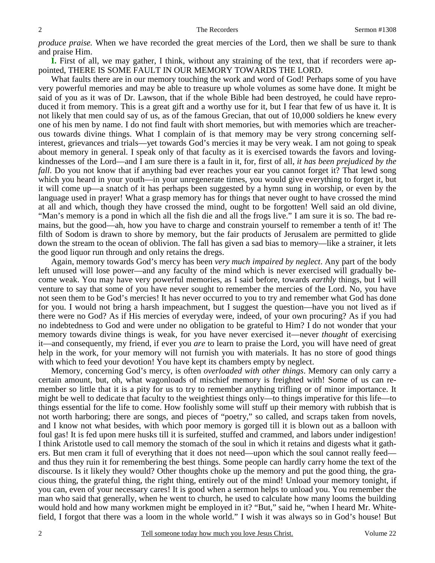*produce praise.* When we have recorded the great mercies of the Lord, then we shall be sure to thank and praise Him.

**I.** First of all, we may gather, I think, without any straining of the text, that if recorders were appointed, THERE IS SOME FAULT IN OUR MEMORY TOWARDS THE LORD.

What faults there are in our memory touching the work and word of God! Perhaps some of you have very powerful memories and may be able to treasure up whole volumes as some have done. It might be said of you as it was of Dr. Lawson, that if the whole Bible had been destroyed, he could have reproduced it from memory. This is a great gift and a worthy use for it, but I fear that few of us have it. It is not likely that men could say of us, as of the famous Grecian, that out of 10,000 soldiers he knew every one of his men by name. I do not find fault with short memories, but with memories which are treacherous towards divine things. What I complain of is that memory may be very strong concerning selfinterest, grievances and trials—yet towards God's mercies it may be very weak. I am not going to speak about memory in general. I speak only of that faculty as it is exercised towards the favors and lovingkindnesses of the Lord—and I am sure there is a fault in it, for, first of all, *it has been prejudiced by the fall*. Do you not know that if anything bad ever reaches your ear you cannot forget it? That lewd song which you heard in your youth—in your unregenerate times, you would give everything to forget it, but it will come up—a snatch of it has perhaps been suggested by a hymn sung in worship, or even by the language used in prayer! What a grasp memory has for things that never ought to have crossed the mind at all and which, though they have crossed the mind, ought to be forgotten! Well said an old divine, "Man's memory is a pond in which all the fish die and all the frogs live." I am sure it is so. The bad remains, but the good—ah, how you have to charge and constrain yourself to remember a tenth of it! The filth of Sodom is drawn to shore by memory, but the fair products of Jerusalem are permitted to glide down the stream to the ocean of oblivion. The fall has given a sad bias to memory—like a strainer, it lets the good liquor run through and only retains the dregs.

 Again, memory towards God's mercy has been *very much impaired by neglect*. Any part of the body left unused will lose power—and any faculty of the mind which is never exercised will gradually become weak. You may have very powerful memories, as I said before, towards *earthly* things, but I will venture to say that some of you have never sought to remember the mercies of the Lord. No, you have not seen them to be God's mercies! It has never occurred to you to try and remember what God has done for you. I would not bring a harsh impeachment, but I suggest the question—have you not lived as if there were no God? As if His mercies of everyday were, indeed, of your own procuring? As if you had no indebtedness to God and were under no obligation to be grateful to Him? I do not wonder that your memory towards divine things is weak, for you have never exercised it—never *thought* of exercising it—and consequently, my friend, if ever you *are* to learn to praise the Lord, you will have need of great help in the work, for your memory will not furnish you with materials. It has no store of good things with which to feed your devotion! You have kept its chambers empty by neglect.

 Memory, concerning God's mercy, is often *overloaded with other things*. Memory can only carry a certain amount, but, oh, what wagonloads of mischief memory is freighted with! Some of us can remember so little that it is a pity for us to try to remember anything trifling or of minor importance. It might be well to dedicate that faculty to the weightiest things only—to things imperative for this life—to things essential for the life to come. How foolishly some will stuff up their memory with rubbish that is not worth harboring; there are songs, and pieces of "poetry," so called, and scraps taken from novels, and I know not what besides, with which poor memory is gorged till it is blown out as a balloon with foul gas! It is fed upon mere husks till it is surfeited, stuffed and crammed, and labors under indigestion! I think Aristotle used to call memory the stomach of the soul in which it retains and digests what it gathers. But men cram it full of everything that it does not need—upon which the soul cannot really feed and thus they ruin it for remembering the best things. Some people can hardly carry home the text of the discourse. Is it likely they would? Other thoughts choke up the memory and put the good thing, the gracious thing, the grateful thing, the right thing, entirely out of the mind! Unload your memory tonight, if you can, even of your necessary cares! It is good when a sermon helps to unload you. You remember the man who said that generally, when he went to church, he used to calculate how many looms the building would hold and how many workmen might be employed in it? "But," said he, "when I heard Mr. Whitefield, I forgot that there was a loom in the whole world." I wish it was always so in God's house! But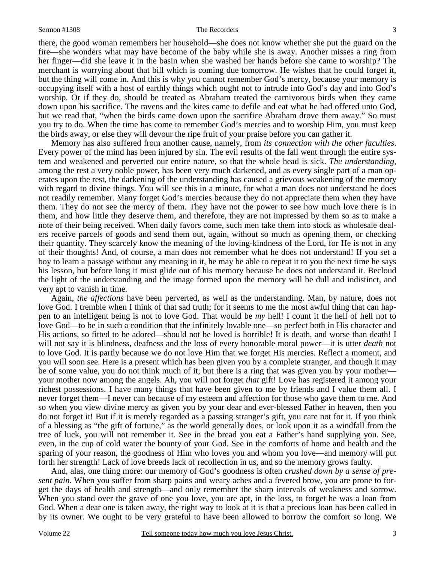there, the good woman remembers her household—she does not know whether she put the guard on the fire—she wonders what may have become of the baby while she is away. Another misses a ring from her finger—did she leave it in the basin when she washed her hands before she came to worship? The merchant is worrying about that bill which is coming due tomorrow. He wishes that he could forget it, but the thing will come in. And this is why you cannot remember God's mercy, because your memory is occupying itself with a host of earthly things which ought not to intrude into God's day and into God's worship. Or if they do, should be treated as Abraham treated the carnivorous birds when they came down upon his sacrifice. The ravens and the kites came to defile and eat what he had offered unto God, but we read that, "when the birds came down upon the sacrifice Abraham drove them away." So must you try to do. When the time has come to remember God's mercies and to worship Him, you must keep the birds away, or else they will devour the ripe fruit of your praise before you can gather it.

 Memory has also suffered from another cause, namely, from *its connection with the other faculties*. Every power of the mind has been injured by sin. The evil results of the fall went through the entire system and weakened and perverted our entire nature, so that the whole head is sick. *The understanding,*  among the rest a very noble power, has been very much darkened, and as every single part of a man operates upon the rest, the darkening of the understanding has caused a grievous weakening of the memory with regard to divine things. You will see this in a minute, for what a man does not understand he does not readily remember. Many forget God's mercies because they do not appreciate them when they have them. They do not see the mercy of them. They have not the power to see how much love there is in them, and how little they deserve them, and therefore, they are not impressed by them so as to make a note of their being received. When daily favors come, such men take them into stock as wholesale dealers receive parcels of goods and send them out, again, without so much as opening them, or checking their quantity. They scarcely know the meaning of the loving-kindness of the Lord, for He is not in any of their thoughts! And, of course, a man does not remember what he does not understand! If you set a boy to learn a passage without any meaning in it, he may be able to repeat it to you the next time he says his lesson, but before long it must glide out of his memory because he does not understand it. Becloud the light of the understanding and the image formed upon the memory will be dull and indistinct, and very apt to vanish in time.

 Again, *the affections* have been perverted, as well as the understanding. Man, by nature, does not love God. I tremble when I think of that sad truth; for it seems to me the most awful thing that can happen to an intelligent being is not to love God. That would be *my* hell! I count it the hell of hell not to love God—to be in such a condition that the infinitely lovable one—so perfect both in His character and His actions, so fitted to be adored—should not be loved is horrible! It is death, and worse than death! I will not say it is blindness, deafness and the loss of every honorable moral power—it is utter *death* not to love God. It is partly because we do not love Him that we forget His mercies. Reflect a moment, and you will soon see. Here is a present which has been given you by a complete stranger, and though it may be of some value, you do not think much of it; but there is a ring that was given you by your mother your mother now among the angels. Ah, you will not forget *that* gift! Love has registered it among your richest possessions. I have many things that have been given to me by friends and I value them all. I never forget them—I never can because of my esteem and affection for those who gave them to me. And so when you view divine mercy as given you by your dear and ever-blessed Father in heaven, then you do not forget it! But if it is merely regarded as a passing stranger's gift, you care not for it. If you think of a blessing as "the gift of fortune," as the world generally does, or look upon it as a windfall from the tree of luck, you will not remember it. See in the bread you eat a Father's hand supplying you. See, even, in the cup of cold water the bounty of your God. See in the comforts of home and health and the sparing of your reason, the goodness of Him who loves you and whom you love—and memory will put forth her strength! Lack of love breeds lack of recollection in us, and so the memory grows faulty.

 And, alas, one thing more: our memory of God's goodness is often *crushed down by a sense of present pain*. When you suffer from sharp pains and weary aches and a fevered brow, you are prone to forget the days of health and strength—and only remember the sharp intervals of weakness and sorrow. When you stand over the grave of one you love, you are apt, in the loss, to forget he was a loan from God. When a dear one is taken away, the right way to look at it is that a precious loan has been called in by its owner. We ought to be very grateful to have been allowed to borrow the comfort so long. We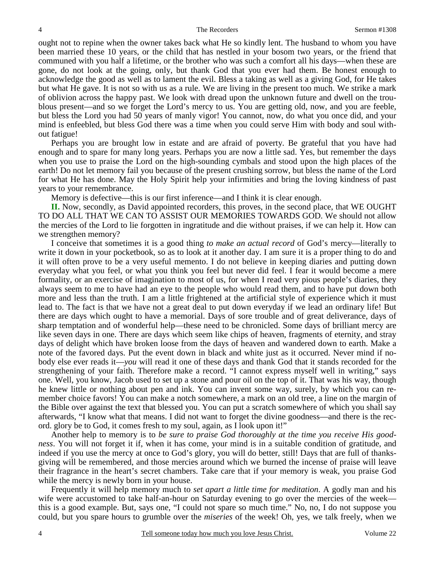ought not to repine when the owner takes back what He so kindly lent. The husband to whom you have been married these 10 years, or the child that has nestled in your bosom two years, or the friend that communed with you half a lifetime, or the brother who was such a comfort all his days—when these are gone, do not look at the going, only, but thank God that you ever had them. Be honest enough to acknowledge the good as well as to lament the evil. Bless a taking as well as a giving God, for He takes but what He gave. It is not so with us as a rule. We are living in the present too much. We strike a mark of oblivion across the happy past. We look with dread upon the unknown future and dwell on the troublous present—and so we forget the Lord's mercy to us. You are getting old, now, and you are feeble, but bless the Lord you had 50 years of manly vigor! You cannot, now, do what you once did, and your mind is enfeebled, but bless God there was a time when you could serve Him with body and soul without fatigue!

 Perhaps you are brought low in estate and are afraid of poverty. Be grateful that you have had enough and to spare for many long years. Perhaps you are now a little sad. Yes, but remember the days when you use to praise the Lord on the high-sounding cymbals and stood upon the high places of the earth! Do not let memory fail you because of the present crushing sorrow, but bless the name of the Lord for what He has done. May the Holy Spirit help your infirmities and bring the loving kindness of past years to your remembrance.

Memory is defective—this is our first inference—and I think it is clear enough.

**II.** Now, secondly, as David appointed recorders, this proves, in the second place, that WE OUGHT TO DO ALL THAT WE CAN TO ASSIST OUR MEMORIES TOWARDS GOD. We should not allow the mercies of the Lord to lie forgotten in ingratitude and die without praises, if we can help it. How can we strengthen memory?

 I conceive that sometimes it is a good thing *to make an actual record* of God's mercy—literally to write it down in your pocketbook, so as to look at it another day. I am sure it is a proper thing to do and it will often prove to be a very useful memento. I do not believe in keeping diaries and putting down everyday what you feel, or what you think you feel but never did feel. I fear it would become a mere formality, or an exercise of imagination to most of us, for when I read very pious people's diaries, they always seem to me to have had an eye to the people who would read them, and to have put down both more and less than the truth. I am a little frightened at the artificial style of experience which it must lead to. The fact is that we have not a great deal to put down everyday if we lead an ordinary life! But there are days which ought to have a memorial. Days of sore trouble and of great deliverance, days of sharp temptation and of wonderful help—these need to be chronicled. Some days of brilliant mercy are like seven days in one. There are days which seem like chips of heaven, fragments of eternity, and stray days of delight which have broken loose from the days of heaven and wandered down to earth. Make a note of the favored days. Put the event down in black and white just as it occurred. Never mind if nobody else ever reads it—*you* will read it one of these days and thank God that it stands recorded for the strengthening of your faith. Therefore make a record. "I cannot express myself well in writing," says one. Well, you know, Jacob used to set up a stone and pour oil on the top of it. That was his way, though he knew little or nothing about pen and ink. You can invent some way, surely, by which you can remember choice favors! You can make a notch somewhere, a mark on an old tree, a line on the margin of the Bible over against the text that blessed you. You can put a scratch somewhere of which you shall say afterwards, "I know what that means. I did not want to forget the divine goodness—and there is the record. glory be to God, it comes fresh to my soul, again, as I look upon it!"

 Another help to memory is to *be sure to praise God thoroughly at the time you receive His goodness*. You will not forget it if, when it has come, your mind is in a suitable condition of gratitude, and indeed if you use the mercy at once to God's glory, you will do better, still! Days that are full of thanksgiving will be remembered, and those mercies around which we burned the incense of praise will leave their fragrance in the heart's secret chambers. Take care that if your memory is weak, you praise God while the mercy is newly born in your house.

 Frequently it will help memory much to *set apart a little time for meditation*. A godly man and his wife were accustomed to take half-an-hour on Saturday evening to go over the mercies of the week this is a good example. But, says one, "I could not spare so much time." No, no, I do not suppose you could, but you spare hours to grumble over the *miseries* of the week! Oh, yes, we talk freely, when we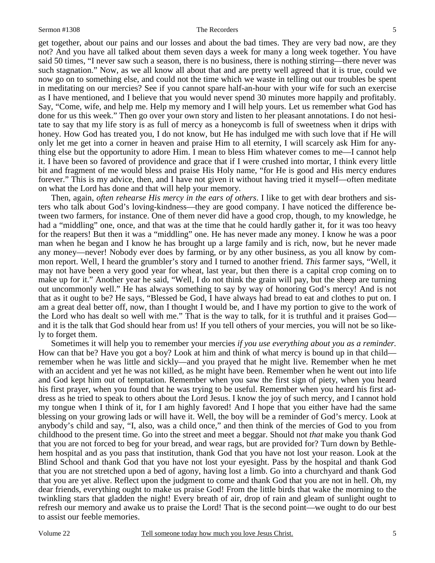get together, about our pains and our losses and about the bad times. They are very bad now, are they not? And you have all talked about them seven days a week for many a long week together. You have said 50 times, "I never saw such a season, there is no business, there is nothing stirring—there never was such stagnation." Now, as we all know all about that and are pretty well agreed that it is true, could we now go on to something else, and could not the time which we waste in telling out our troubles be spent in meditating on our mercies? See if you cannot spare half-an-hour with your wife for such an exercise as I have mentioned, and I believe that you would never spend 30 minutes more happily and profitably. Say, "Come, wife, and help me. Help my memory and I will help yours. Let us remember what God has done for us this week." Then go over your own story and listen to her pleasant annotations. I do not hesitate to say that my life story is as full of mercy as a honeycomb is full of sweetness when it drips with honey. How God has treated you, I do not know, but He has indulged me with such love that if He will only let me get into a corner in heaven and praise Him to all eternity, I will scarcely ask Him for anything else but the opportunity to adore Him. I mean to bless Him whatever comes to me—I cannot help it. I have been so favored of providence and grace that if I were crushed into mortar, I think every little bit and fragment of me would bless and praise His Holy name, "for He is good and His mercy endures forever." This is my advice, then, and I have not given it without having tried it myself—often meditate on what the Lord has done and that will help your memory.

 Then, again, *often rehearse His mercy in the ears of others*. I like to get with dear brothers and sisters who talk about God's loving-kindness—they are good company. I have noticed the difference between two farmers, for instance. One of them never did have a good crop, though, to my knowledge, he had a "middling" one, once, and that was at the time that he could hardly gather it, for it was too heavy for the reapers! But then it was a "middling" one. He has never made any money. I know he was a poor man when he began and I know he has brought up a large family and is rich, now, but he never made any money—never! Nobody ever does by farming, or by any other business, as you all know by common report. Well, I heard the grumbler's story and I turned to another friend. *This* farmer says, "Well, it may not have been a very good year for wheat, last year, but then there is a capital crop coming on to make up for it." Another year he said, "Well, I do not think the grain will pay, but the sheep are turning out uncommonly well." He has always something to say by way of honoring God's mercy! And is not that as it ought to be? He says, "Blessed be God, I have always had bread to eat and clothes to put on. I am a great deal better off, now, than I thought I would be, and I have my portion to give to the work of the Lord who has dealt so well with me." That is the way to talk, for it is truthful and it praises God and it is the talk that God should hear from us! If you tell others of your mercies, you will not be so likely to forget them.

 Sometimes it will help you to remember your mercies *if you use everything about you as a reminder.* How can that be? Have you got a boy? Look at him and think of what mercy is bound up in that child remember when he was little and sickly—and you prayed that he might live. Remember when he met with an accident and yet he was not killed, as he might have been. Remember when he went out into life and God kept him out of temptation. Remember when you saw the first sign of piety, when you heard his first prayer, when you found that he was trying to be useful. Remember when you heard his first address as he tried to speak to others about the Lord Jesus. I know the joy of such mercy, and I cannot hold my tongue when I think of it, for I am highly favored! And I hope that you either have had the same blessing on your growing lads or will have it. Well, the boy will be a reminder of God's mercy. Look at anybody's child and say, "I, also, was a child once," and then think of the mercies of God to you from childhood to the present time. Go into the street and meet a beggar. Should not *that* make you thank God that you are not forced to beg for your bread, and wear rags, but are provided for? Turn down by Bethlehem hospital and as you pass that institution, thank God that you have not lost your reason. Look at the Blind School and thank God that you have not lost your eyesight. Pass by the hospital and thank God that you are not stretched upon a bed of agony, having lost a limb. Go into a churchyard and thank God that you are yet alive. Reflect upon the judgment to come and thank God that you are not in hell. Oh, my dear friends, everything ought to make us praise God! From the little birds that wake the morning to the twinkling stars that gladden the night! Every breath of air, drop of rain and gleam of sunlight ought to refresh our memory and awake us to praise the Lord! That is the second point—we ought to do our best to assist our feeble memories.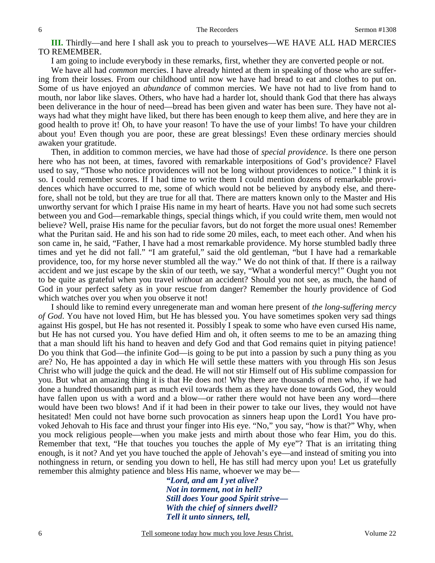**III.** Thirdly—and here I shall ask you to preach to yourselves—WE HAVE ALL HAD MERCIES TO REMEMBER.

I am going to include everybody in these remarks, first, whether they are converted people or not.

We have all had *common* mercies. I have already hinted at them in speaking of those who are suffering from their losses. From our childhood until now we have had bread to eat and clothes to put on. Some of us have enjoyed an *abundance* of common mercies. We have not had to live from hand to mouth, nor labor like slaves. Others, who have had a harder lot, should thank God that there has always been deliverance in the hour of need—bread has been given and water has been sure. They have not always had what they might have liked, but there has been enough to keep them alive, and here they are in good health to prove it! Oh, to have your reason! To have the use of your limbs! To have your children about you! Even though you are poor, these are great blessings! Even these ordinary mercies should awaken your gratitude.

 Then, in addition to common mercies, we have had those of *special providence*. Is there one person here who has not been, at times, favored with remarkable interpositions of God's providence? Flavel used to say, "Those who notice providences will not be long without providences to notice." I think it is so. I could remember scores. If I had time to write them I could mention dozens of remarkable providences which have occurred to me, some of which would not be believed by anybody else, and therefore, shall not be told, but they are true for all that. There are matters known only to the Master and His unworthy servant for which I praise His name in my heart of hearts. Have you not had some such secrets between you and God—remarkable things, special things which, if you could write them, men would not believe? Well, praise His name for the peculiar favors, but do not forget the more usual ones! Remember what the Puritan said. He and his son had to ride some 20 miles, each, to meet each other. And when his son came in, he said, "Father, I have had a most remarkable providence. My horse stumbled badly three times and yet he did not fall." "I am grateful," said the old gentleman, "but I have had a remarkable providence, too, for my horse never stumbled all the way." We do not think of that. If there is a railway accident and we just escape by the skin of our teeth, we say, "What a wonderful mercy!" Ought you not to be quite as grateful when you travel *without* an accident? Should you not see, as much, the hand of God in your perfect safety as in your rescue from danger? Remember the hourly providence of God which watches over you when you observe it not!

 I should like to remind every unregenerate man and woman here present of *the long-suffering mercy of God*. You have not loved Him, but He has blessed you. You have sometimes spoken very sad things against His gospel, but He has not resented it. Possibly I speak to some who have even cursed His name, but He has not cursed you. You have defied Him and oh, it often seems to me to be an amazing thing that a man should lift his hand to heaven and defy God and that God remains quiet in pitying patience! Do you think that God—the infinite God—is going to be put into a passion by such a puny thing as you are? No, He has appointed a day in which He will settle these matters with you through His son Jesus Christ who will judge the quick and the dead. He will not stir Himself out of His sublime compassion for you. But what an amazing thing it is that He does not! Why there are thousands of men who, if we had done a hundred thousandth part as much evil towards them as they have done towards God, they would have fallen upon us with a word and a blow—or rather there would not have been any word—there would have been two blows! And if it had been in their power to take our lives, they would not have hesitated! Men could not have borne such provocation as sinners heap upon the Lord1 You have provoked Jehovah to His face and thrust your finger into His eye. "No," you say, "how is that?" Why, when you mock religious people—when you make jests and mirth about those who fear Him, you do this. Remember that text, "He that touches you touches the apple of My eye"? That is an irritating thing enough, is it not? And yet you have touched the apple of Jehovah's eye—and instead of smiting you into nothingness in return, or sending you down to hell, He has still had mercy upon you! Let us gratefully remember this almighty patience and bless His name, whoever we may be—

*"Lord, and am I yet alive? Not in torment, not in hell? Still does Your good Spirit strive— With the chief of sinners dwell? Tell it unto sinners, tell,*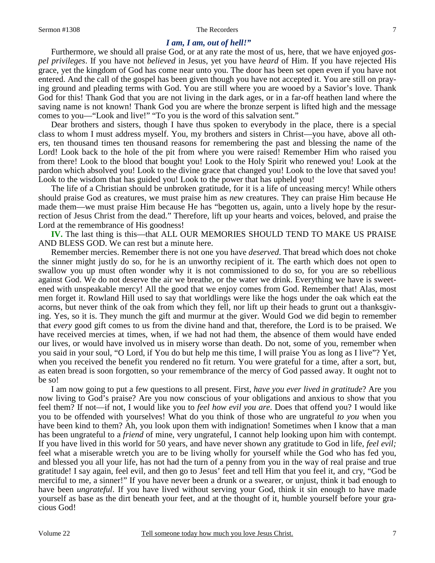#### 7

### *I am, I am, out of hell!"*

Furthermore, we should all praise God, or at any rate the most of us, here, that we have enjoyed *gospel privileges*. If you have not *believed* in Jesus, yet you have *heard* of Him. If you have rejected His grace, yet the kingdom of God has come near unto you. The door has been set open even if you have not entered. And the call of the gospel has been given though you have not accepted it. You are still on praying ground and pleading terms with God. You are still where you are wooed by a Savior's love. Thank God for this! Thank God that you are not living in the dark ages, or in a far-off heathen land where the saving name is not known! Thank God you are where the bronze serpent is lifted high and the message comes to you—"Look and live!" "To you is the word of this salvation sent."

 Dear brothers and sisters, though I have thus spoken to everybody in the place, there is a special class to whom I must address myself. You, my brothers and sisters in Christ—you have, above all others, ten thousand times ten thousand reasons for remembering the past and blessing the name of the Lord! Look back to the hole of the pit from where you were raised! Remember Him who raised you from there! Look to the blood that bought you! Look to the Holy Spirit who renewed you! Look at the pardon which absolved you! Look to the divine grace that changed you! Look to the love that saved you! Look to the wisdom that has guided you! Look to the power that has upheld you!

 The life of a Christian should be unbroken gratitude, for it is a life of unceasing mercy! While others should praise God as creatures, we must praise him as *new* creatures. They can praise Him because He made them—we must praise Him because He has "begotten us, again, unto a lively hope by the resurrection of Jesus Christ from the dead." Therefore, lift up your hearts and voices, beloved, and praise the Lord at the remembrance of His goodness!

**IV.** The last thing is this—that ALL OUR MEMORIES SHOULD TEND TO MAKE US PRAISE AND BLESS GOD. We can rest but a minute here.

 Remember mercies. Remember there is not one you have *deserved*. That bread which does not choke the sinner might justly do so, for he is an unworthy recipient of it. The earth which does not open to swallow you up must often wonder why it is not commissioned to do so, for you are so rebellious against God. We do not deserve the air we breathe, or the water we drink. Everything we have is sweetened with unspeakable mercy! All the good that we enjoy comes from God. Remember that! Alas, most men forget it. Rowland Hill used to say that worldlings were like the hogs under the oak which eat the acorns, but never think of the oak from which they fell, nor lift up their heads to grunt out a thanksgiving. Yes, so it is. They munch the gift and murmur at the giver. Would God we did begin to remember that *every* good gift comes to us from the divine hand and that, therefore, the Lord is to be praised. We have received mercies at times, when, if we had not had them, the absence of them would have ended our lives, or would have involved us in misery worse than death. Do not, some of you, remember when you said in your soul, "O Lord, if You do but help me this time, I will praise You as long as I live"? Yet, when you received the benefit you rendered no fit return. You were grateful for a time, after a sort, but, as eaten bread is soon forgotten, so your remembrance of the mercy of God passed away. It ought not to be so!

 I am now going to put a few questions to all present. First, *have you ever lived in gratitude*? Are you now living to God's praise? Are you now conscious of your obligations and anxious to show that you feel them? If not—if not, I would like you to *feel how evil you are*. Does that offend you? I would like you to be offended with yourselves! What do you think of those who are ungrateful *to you* when you have been kind to them? Ah, you look upon them with indignation! Sometimes when I know that a man has been ungrateful to a *friend* of mine, very ungrateful, I cannot help looking upon him with contempt. If you have lived in this world for 50 years, and have never shown any gratitude to God in life, *feel evil;* feel what a miserable wretch you are to be living wholly for yourself while the God who has fed you, and blessed you all your life, has not had the turn of a penny from you in the way of real praise and true gratitude! I say again, feel evil, and then go to Jesus' feet and tell Him that you feel it, and cry, "God be merciful to me, a sinner!" If you have never been a drunk or a swearer, or unjust, think it bad enough to have been *ungrateful*. If you have lived without serving your God, think it sin enough to have made yourself as base as the dirt beneath your feet, and at the thought of it, humble yourself before your gracious God!